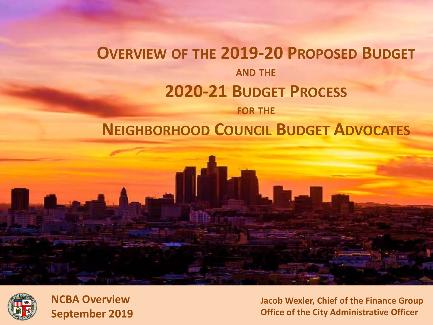#### **OVERVIEW OF THE 2019-20 PROPOSED BUDGET AND THE 2020-21 BUDGET PROCESS FOR THE**

#### **NEIGHBORHOOD COUNCIL BUDGET ADVOCATES**



**NCBA Overview September 2019**

**Jacob Wexler, Chief of the Finance Group Office of the City Administrative Officer**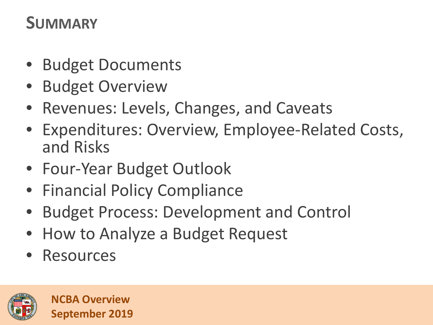## **SUMMARY**

- Budget Documents
- Budget Overview
- Revenues: Levels, Changes, and Caveats
- Expenditures: Overview, Employee-Related Costs, and Risks
- Four-Year Budget Outlook
- Financial Policy Compliance
- Budget Process: Development and Control
- How to Analyze a Budget Request
- **Resources**

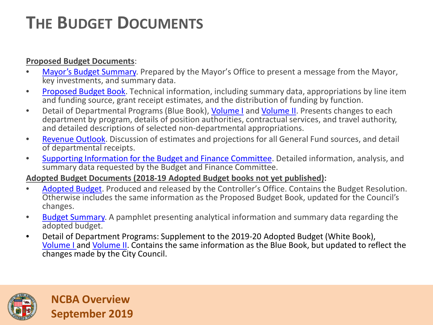# **THE BUDGET DOCUMENTS**

#### **Proposed Budget Documents**:

- [Mayor's Budget Summary.](http://cao.lacity.org/budget19-20/2019-20Budget_Summary.pdf) Prepared by the Mayor's Office to present a message from the Mayor, key investments, and summary data.
- [Proposed Budget Book.](http://cao.lacity.org/budget19-20/2019-20Proposed_Budget.pdf) Technical information, including summary data, appropriations by line item and funding source, grant receipt estimates, and the distribution of funding by function.
- Detail of Departmental Programs (Blue Book), [Volume I](http://cao.lacity.org/budget19-20/2019-20BlueBookVol1.pdf) and [Volume II](http://cao.lacity.org/budget19-20/2019-20BlueBookVol2.pdf). Presents changes to each department by program, details of position authorities, contractual services, and travel authority, and detailed descriptions of selected non-departmental appropriations.
- [Revenue Outlook](http://cao.lacity.org/budget19-20/2019-20Revenue_Outlook.pdf). Discussion of estimates and projections for all General Fund sources, and detail of departmental receipts.
- [Supporting Information for the Budget and Finance Committee](http://cao.lacity.org/budget19-20/2019-20Supp_Info.pdf). Detailed information, analysis, and summary data requested by the Budget and Finance Committee.

#### **Adopted Budget Documents (2018-19 Adopted Budget books not yet published):**

- [Adopted Budget](https://lacontroller.org/budgets/). Produced and released by the Controller's Office. Contains the Budget Resolution. Otherwise includes the same information as the Proposed Budget Book, updated for the Council's changes.
- [Budget Summary.](http://cao.lacity.org/budget/summary/2018-19BudgetSummaryBooklet.pdf) A pamphlet presenting analytical information and summary data regarding the adopted budget.
- Detail of Department Programs: Supplement to the 2019-20 Adopted Budget (White Book), [Volume I](http://cao.lacity.org/budget19-20/2019-20%20White%20Book%20-%20Volume%201.pdf) and [Volume II](http://cao.lacity.org/budget19-20/2019-20%20White%20Book%20-%20Volume%202.pdf). Contains the same information as the Blue Book, but updated to reflect the changes made by the City Council.

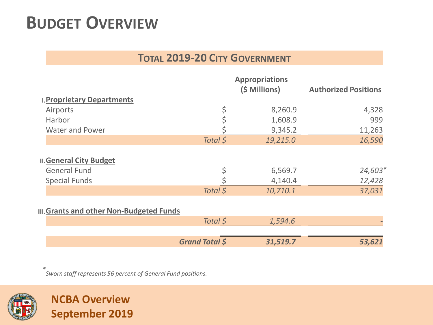## **BUDGET OVERVIEW**

#### **TOTAL 2019-20 CITY GOVERNMENT**

|                                                      |                       | <b>Appropriations</b><br>(\$ Millions) | <b>Authorized Positions</b> |
|------------------------------------------------------|-----------------------|----------------------------------------|-----------------------------|
| <b>I. Proprietary Departments</b>                    |                       |                                        |                             |
| Airports                                             |                       | 8,260.9                                | 4,328                       |
| Harbor                                               |                       | 1,608.9                                | 999                         |
| <b>Water and Power</b>                               |                       | 9,345.2                                | 11,263                      |
|                                                      | Total \$              | 19,215.0                               | 16,590                      |
| <b>II.General City Budget</b><br><b>General Fund</b> |                       | 6,569.7                                | $24,603*$                   |
| <b>Special Funds</b>                                 |                       | 4,140.4                                | 12,428                      |
|                                                      | Total \$              | 10,710.1                               | 37,031                      |
| <b>III.Grants and other Non-Budgeted Funds</b>       |                       |                                        |                             |
|                                                      | Total \$              | 1,594.6                                |                             |
|                                                      | <b>Grand Total \$</b> | 31,519.7                               | 53,621                      |

*\* Sworn staff represents 56 percent of General Fund positions.*

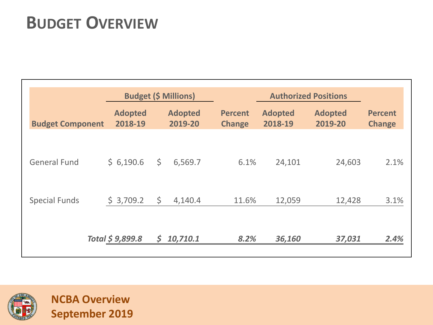# **BUDGET OVERVIEW**

|                         | <b>Budget (\$ Millions)</b> |    |                           | <b>Authorized Positions</b>     |                           |                           |                                 |
|-------------------------|-----------------------------|----|---------------------------|---------------------------------|---------------------------|---------------------------|---------------------------------|
| <b>Budget Component</b> | <b>Adopted</b><br>2018-19   |    | <b>Adopted</b><br>2019-20 | <b>Percent</b><br><b>Change</b> | <b>Adopted</b><br>2018-19 | <b>Adopted</b><br>2019-20 | <b>Percent</b><br><b>Change</b> |
|                         |                             |    |                           |                                 |                           |                           |                                 |
| <b>General Fund</b>     | \$6,190.6                   | \$ | 6,569.7                   | 6.1%                            | 24,101                    | 24,603                    | 2.1%                            |
| <b>Special Funds</b>    | \$3,709.2                   | \$ | 4,140.4                   | 11.6%                           | 12,059                    | 12,428                    | 3.1%                            |
|                         |                             |    |                           |                                 |                           |                           |                                 |
|                         | Total \$9,899.8             | \$ | 10,710.1                  | 8.2%                            | 36,160                    | 37,031                    | 2.4%                            |

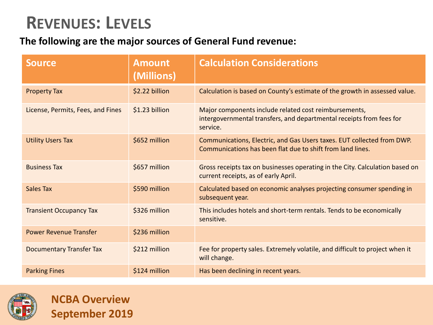### **REVENUES: LEVELS**

#### **The following are the major sources of General Fund revenue:**

| <b>Source</b>                     | <b>Amount</b><br>(Millions) | <b>Calculation Considerations</b>                                                                                                         |
|-----------------------------------|-----------------------------|-------------------------------------------------------------------------------------------------------------------------------------------|
| <b>Property Tax</b>               | \$2.22 billion              | Calculation is based on County's estimate of the growth in assessed value.                                                                |
| License, Permits, Fees, and Fines | \$1.23 billion              | Major components include related cost reimbursements,<br>intergovernmental transfers, and departmental receipts from fees for<br>service. |
| <b>Utility Users Tax</b>          | \$652 million               | Communications, Electric, and Gas Users taxes. EUT collected from DWP.<br>Communications has been flat due to shift from land lines.      |
| <b>Business Tax</b>               | \$657 million               | Gross receipts tax on businesses operating in the City. Calculation based on<br>current receipts, as of early April.                      |
| Sales Tax                         | \$590 million               | Calculated based on economic analyses projecting consumer spending in<br>subsequent year.                                                 |
| <b>Transient Occupancy Tax</b>    | \$326 million               | This includes hotels and short-term rentals. Tends to be economically<br>sensitive.                                                       |
| <b>Power Revenue Transfer</b>     | \$236 million               |                                                                                                                                           |
| <b>Documentary Transfer Tax</b>   | \$212 million               | Fee for property sales. Extremely volatile, and difficult to project when it<br>will change.                                              |
| <b>Parking Fines</b>              | \$124 million               | Has been declining in recent years.                                                                                                       |

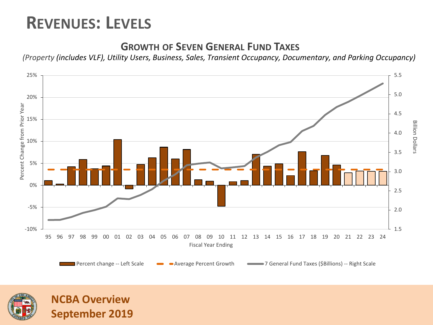### **REVENUES: LEVELS**

**NCBA Overview**

**September 2019**

#### **GROWTH OF SEVEN GENERAL FUND TAXES**

*(Property (includes VLF), Utility Users, Business, Sales, Transient Occupancy, Documentary, and Parking Occupancy)*



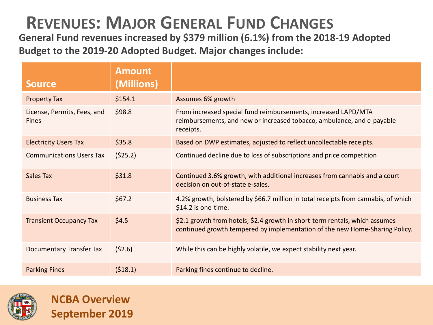## **REVENUES: MAJOR GENERAL FUND CHANGES**

**General Fund revenues increased by \$379 million (6.1%) from the 2018-19 Adopted Budget to the 2019-20 Adopted Budget. Major changes include:**

| <b>Source</b>                               | <b>Amount</b><br>(Millions) |                                                                                                                                                            |
|---------------------------------------------|-----------------------------|------------------------------------------------------------------------------------------------------------------------------------------------------------|
| <b>Property Tax</b>                         | \$154.1                     | Assumes 6% growth                                                                                                                                          |
| License, Permits, Fees, and<br><b>Fines</b> | \$98.8                      | From increased special fund reimbursements, increased LAPD/MTA<br>reimbursements, and new or increased tobacco, ambulance, and e-payable<br>receipts.      |
| <b>Electricity Users Tax</b>                | \$35.8                      | Based on DWP estimates, adjusted to reflect uncollectable receipts.                                                                                        |
| <b>Communications Users Tax</b>             | (525.2)                     | Continued decline due to loss of subscriptions and price competition                                                                                       |
| Sales Tax                                   | \$31.8                      | Continued 3.6% growth, with additional increases from cannabis and a court<br>decision on out-of-state e-sales.                                            |
| <b>Business Tax</b>                         | \$67.2                      | 4.2% growth, bolstered by \$66.7 million in total receipts from cannabis, of which<br>\$14.2 is one-time.                                                  |
| <b>Transient Occupancy Tax</b>              | \$4.5                       | \$2.1 growth from hotels; \$2.4 growth in short-term rentals, which assumes<br>continued growth tempered by implementation of the new Home-Sharing Policy. |
| Documentary Transfer Tax                    | (52.6)                      | While this can be highly volatile, we expect stability next year.                                                                                          |
| <b>Parking Fines</b>                        | (518.1)                     | Parking fines continue to decline.                                                                                                                         |



**NCBA Overview**

**September 2019**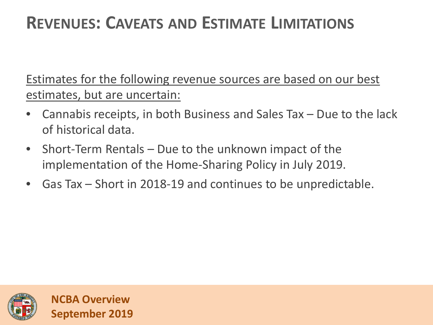## **REVENUES: CAVEATS AND ESTIMATE LIMITATIONS**

Estimates for the following revenue sources are based on our best estimates, but are uncertain:

- Cannabis receipts, in both Business and Sales Tax  $-$  Due to the lack of historical data.
- Short-Term Rentals Due to the unknown impact of the implementation of the Home-Sharing Policy in July 2019.
- Gas Tax Short in 2018-19 and continues to be unpredictable.

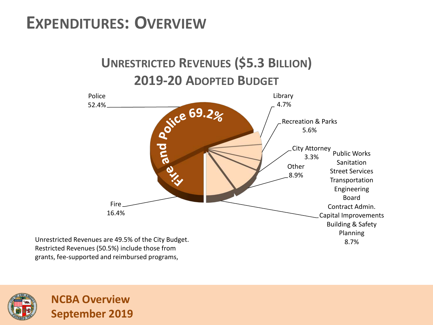### **EXPENDITURES: OVERVIEW**



**UNRESTRICTED REVENUES (\$5.3 BILLION)**

Restricted Revenues (50.5%) include those from grants, fee-supported and reimbursed programs,

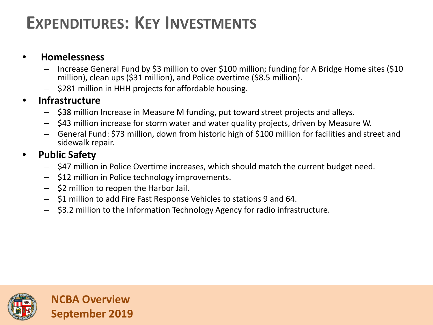## **EXPENDITURES: KEY INVESTMENTS**

#### • **Homelessness**

- Increase General Fund by \$3 million to over \$100 million; funding for A Bridge Home sites (\$10 million), clean ups (\$31 million), and Police overtime (\$8.5 million).
- \$281 million in HHH projects for affordable housing.

#### • **Infrastructure**

- \$38 million Increase in Measure M funding, put toward street projects and alleys.
- \$43 million increase for storm water and water quality projects, driven by Measure W.
- General Fund: \$73 million, down from historic high of \$100 million for facilities and street and sidewalk repair.

#### • **Public Safety**

- \$47 million in Police Overtime increases, which should match the current budget need.
- \$12 million in Police technology improvements.
- \$2 million to reopen the Harbor Jail.
- \$1 million to add Fire Fast Response Vehicles to stations 9 and 64.
- \$3.2 million to the Information Technology Agency for radio infrastructure.

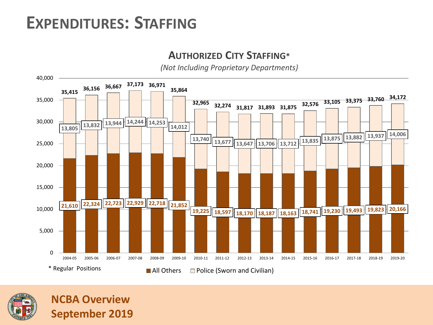### **EXPENDITURES: STAFFING**

#### **AUTHORIZED CITY STAFFING\***

*(Not Including Proprietary Departments)*



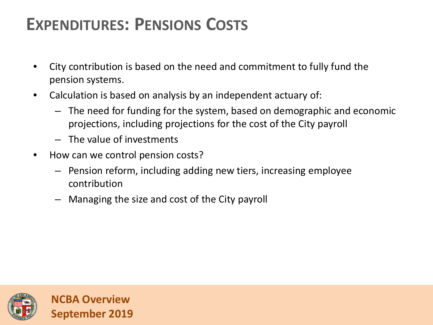## **EXPENDITURES: PENSIONS COSTS**

- City contribution is based on the need and commitment to fully fund the pension systems.
- Calculation is based on analysis by an independent actuary of:
	- The need for funding for the system, based on demographic and economic projections, including projections for the cost of the City payroll
	- The value of investments
- How can we control pension costs?
	- Pension reform, including adding new tiers, increasing employee contribution
	- Managing the size and cost of the City payroll

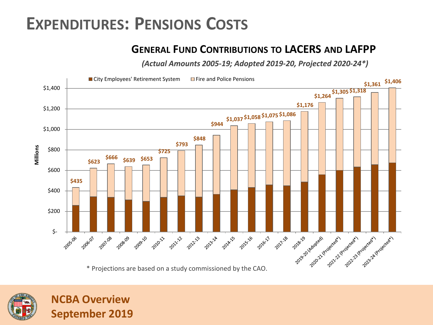#### **EXPENDITURES: PENSIONS COSTS**

#### **GENERAL FUND CONTRIBUTIONS TO LACERS AND LAFPP**

*(Actual Amounts 2005-19; Adopted 2019-20, Projected 2020-24\*)*





**NCBA Overview**

**September 2019**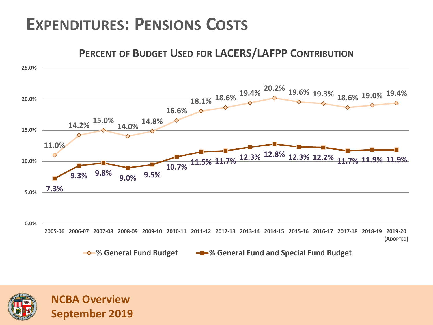### **EXPENDITURES: PENSIONS COSTS**

#### **11.0% 14.2% 15.0% 14.0% 14.8% 16.6% 18.1% 18.6% 19.4% 20.2% 19.6% 19.3% 18.6% 19.0% 19.4% 7.3% 9.3% 9.8% 9.0% 9.5% 10.7% 11.5% 11.7% 12.3% 12.8% 12.3% 12.2% 11.7% 11.9% 11.9% 0.0% 5.0% 10.0% 15.0% 20.0% 25.0%** 2005-06 2006-07 2007-08 2008-09 2009-10 2010-11 2011-12 2012-13 2013-14 2014-15 2015-16 2016-17 2017-18 2018-19 2019-20 **(ADOPTED) PERCENT OF BUDGET USED FOR LACERS/LAFPP CONTRIBUTION**

**% General Fund Budget % General Fund and Special Fund Budget**

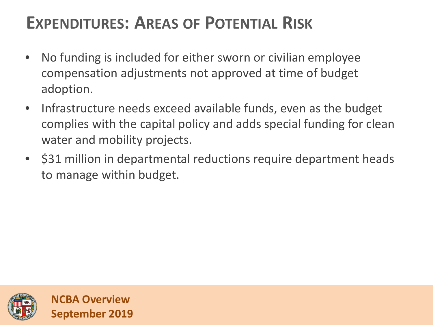## **EXPENDITURES: AREAS OF POTENTIAL RISK**

- No funding is included for either sworn or civilian employee compensation adjustments not approved at time of budget adoption.
- Infrastructure needs exceed available funds, even as the budget complies with the capital policy and adds special funding for clean water and mobility projects.
- \$31 million in departmental reductions require department heads to manage within budget.

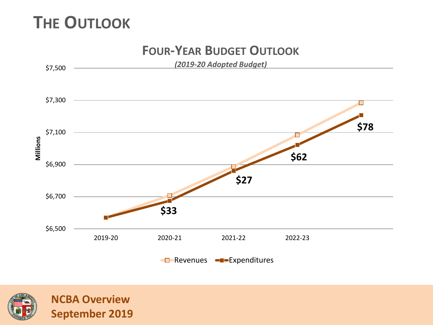## **THE OUTLOOK**



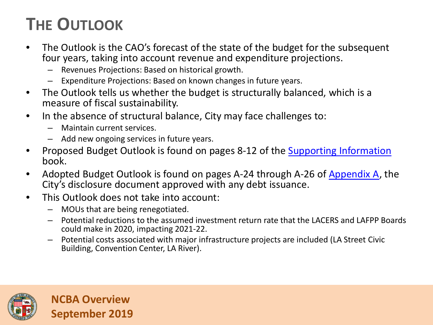# **THE OUTLOOK**

- The Outlook is the CAO's forecast of the state of the budget for the subsequent four years, taking into account revenue and expenditure projections.
	- Revenues Projections: Based on historical growth.
	- Expenditure Projections: Based on known changes in future years.
- The Outlook tells us whether the budget is structurally balanced, which is a measure of fiscal sustainability.
- In the absence of structural balance, City may face challenges to:
	- Maintain current services.
	- Add new ongoing services in future years.
- Proposed Budget Outlook is found on pages 8-12 of the [Supporting Information](http://cao.lacity.org/budget19-20/2019-20Supp_Info.pdf) book.
- Adopted Budget Outlook is found on pages A-24 through A-26 of [Appendix A,](http://cao.lacity.org/debt/APPENDIX_A_2019_06_28.pdf) the City's disclosure document approved with any debt issuance.
- This Outlook does not take into account:
	- MOUs that are being renegotiated.
	- Potential reductions to the assumed investment return rate that the LACERS and LAFPP Boards could make in 2020, impacting 2021-22.
	- Potential costs associated with major infrastructure projects are included (LA Street Civic Building, Convention Center, LA River).

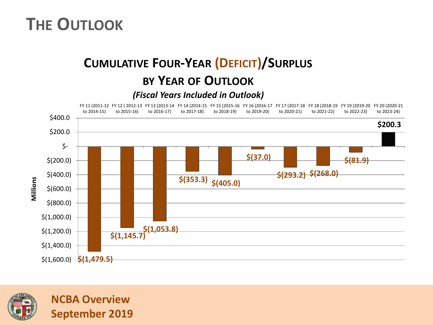### **THE OUTLOOK**

### **CUMULATIVE FOUR-YEAR (DEFICIT)/SURPLUS BY YEAR OF OUTLOOK**

#### *(Fiscal Years Included in Outlook)*



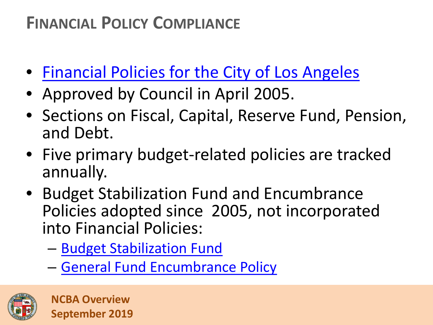- [Financial Policies for the City of Los Angeles](http://cao.lacity.org/debt/FinancialPolicies.pdf)
- Approved by Council in April 2005.
- Sections on Fiscal, Capital, Reserve Fund, Pension, and Debt.
- Five primary budget-related policies are tracked annually.
- Budget Stabilization Fund and Encumbrance Policies adopted since 2005, not incorporated into Financial Policies:
	- [Budget Stabilization Fund](https://cityclerk.lacity.org/lacityclerkconnect/index.cfm?fa=ccfi.viewrecord&cfnumber=13-0455)
	- [General Fund Encumbrance Policy](https://cityclerk.lacity.org/lacityclerkconnect/index.cfm?fa=ccfi.viewrecord&cfnumber=12-0600-S29)

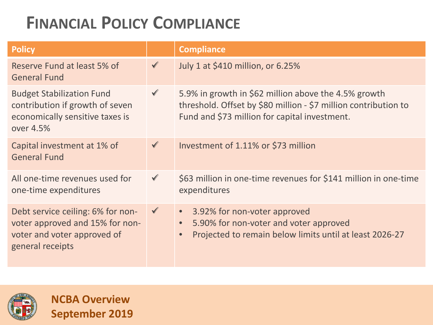| <b>Policy</b>                                                                                                           |              | <b>Compliance</b>                                                                                                                                                        |
|-------------------------------------------------------------------------------------------------------------------------|--------------|--------------------------------------------------------------------------------------------------------------------------------------------------------------------------|
| Reserve Fund at least 5% of<br><b>General Fund</b>                                                                      | $\checkmark$ | July 1 at \$410 million, or 6.25%                                                                                                                                        |
| <b>Budget Stabilization Fund</b><br>contribution if growth of seven<br>economically sensitive taxes is<br>over 4.5%     | $\checkmark$ | 5.9% in growth in \$62 million above the 4.5% growth<br>threshold. Offset by \$80 million - \$7 million contribution to<br>Fund and \$73 million for capital investment. |
| Capital investment at 1% of<br><b>General Fund</b>                                                                      | $\checkmark$ | Investment of 1.11% or \$73 million                                                                                                                                      |
| All one-time revenues used for<br>one-time expenditures                                                                 | $\checkmark$ | \$63 million in one-time revenues for \$141 million in one-time<br>expenditures                                                                                          |
| Debt service ceiling: 6% for non-<br>voter approved and 15% for non-<br>voter and voter approved of<br>general receipts | $\checkmark$ | 3.92% for non-voter approved<br>$\bullet$ .<br>5.90% for non-voter and voter approved<br>Projected to remain below limits until at least 2026-27                         |



**NCBA Overview**

**September 2019**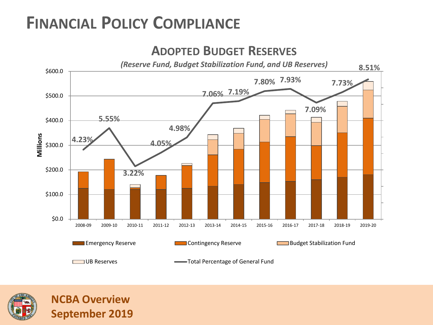

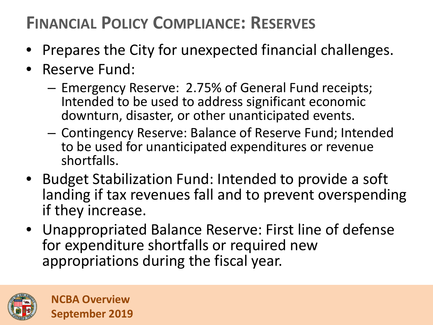# **FINANCIAL POLICY COMPLIANCE: RESERVES**

- Prepares the City for unexpected financial challenges.
- Reserve Fund:
	- Emergency Reserve: 2.75% of General Fund receipts; Intended to be used to address significant economic downturn, disaster, or other unanticipated events.
	- Contingency Reserve: Balance of Reserve Fund; Intended to be used for unanticipated expenditures or revenue shortfalls.
- Budget Stabilization Fund: Intended to provide a soft landing if tax revenues fall and to prevent overspending if they increase.
- Unappropriated Balance Reserve: First line of defense for expenditure shortfalls or required new appropriations during the fiscal year.

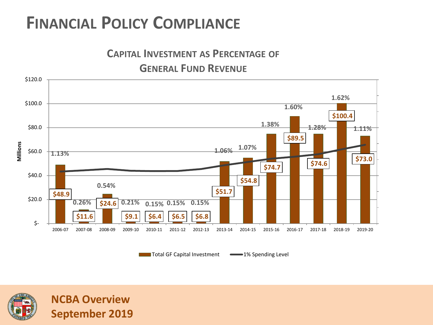



Total GF Capital Investment **1% Spending Level** 



**NCBA Overview**

**September 2019**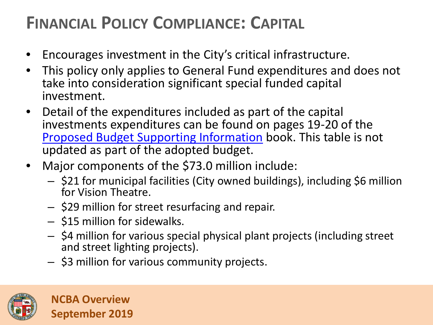# **FINANCIAL POLICY COMPLIANCE: CAPITAL**

- Encourages investment in the City's critical infrastructure.
- This policy only applies to General Fund expenditures and does not take into consideration significant special funded capital investment.
- Detail of the expenditures included as part of the capital investments expenditures can be found on pages 19-20 of the [Proposed Budget Supporting Information](http://cao.lacity.org/budget19-20/2019-20Supp_Info.pdf) book. This table is not updated as part of the adopted budget.
- Major components of the \$73.0 million include:
	- \$21 for municipal facilities (City owned buildings), including \$6 million for Vision Theatre.
	- \$29 million for street resurfacing and repair.
	- \$15 million for sidewalks.
	- \$4 million for various special physical plant projects (including street and street lighting projects).
	- \$3 million for various community projects.

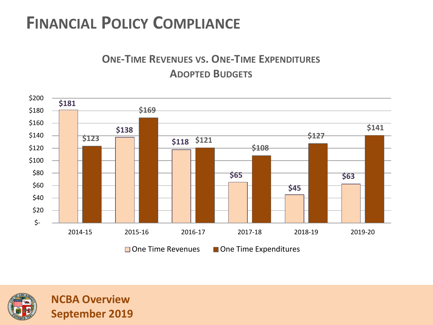#### **ONE-TIME REVENUES VS. ONE-TIME EXPENDITURES ADOPTED BUDGETS**



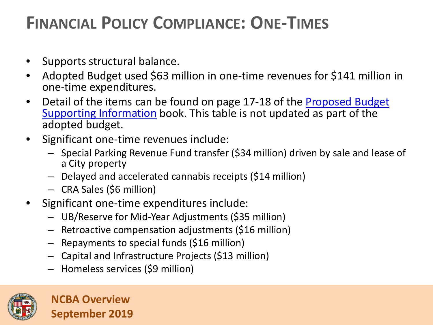## **FINANCIAL POLICY COMPLIANCE: ONE-TIMES**

- Supports structural balance.
- Adopted Budget used \$63 million in one-time revenues for \$141 million in one-time expenditures.
- Detail of the items can be found on page 17-18 of the Proposed Budget Supporting Information book. This table is not updated as part of the adopted budget.
- Significant one-time revenues include:
	- Special Parking Revenue Fund transfer (\$34 million) driven by sale and lease of a City property
	- Delayed and accelerated cannabis receipts (\$14 million)
	- CRA Sales (\$6 million)
- Significant one-time expenditures include:
	- UB/Reserve for Mid-Year Adjustments (\$35 million)
	- Retroactive compensation adjustments (\$16 million)
	- Repayments to special funds (\$16 million)
	- Capital and Infrastructure Projects (\$13 million)
	- Homeless services (\$9 million)

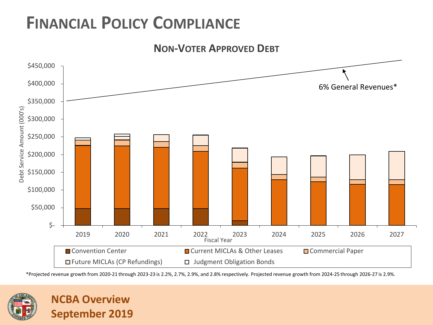



\*Projected revenue growth from 2020-21 through 2023-23 is 2.2%, 2.7%, 2.9%, and 2.8% respectively. Projected revenue growth from 2024-25 through 2026-27 is 2.9%.

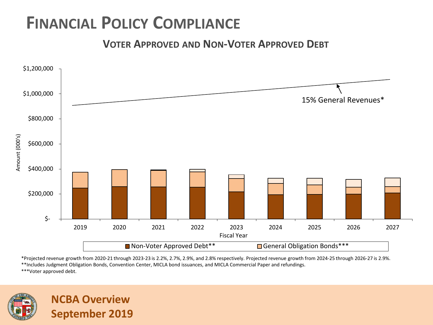**VOTER APPROVED AND NON-VOTER APPROVED DEBT**



\*Projected revenue growth from 2020-21 through 2023-23 is 2.2%, 2.7%, 2.9%, and 2.8% respectively. Projected revenue growth from 2024-25 through 2026-27 is 2.9%. \*\*Includes Judgment Obligation Bonds, Convention Center, MICLA bond issuances, and MICLA Commercial Paper and refundings.

\*\*\*Voter approved debt.

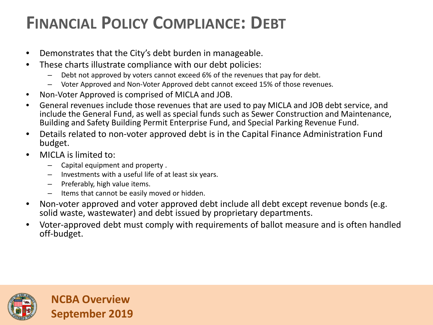# **FINANCIAL POLICY COMPLIANCE: DEBT**

- Demonstrates that the City's debt burden in manageable.
- These charts illustrate compliance with our debt policies:
	- Debt not approved by voters cannot exceed 6% of the revenues that pay for debt.
	- Voter Approved and Non-Voter Approved debt cannot exceed 15% of those revenues.
- Non-Voter Approved is comprised of MICLA and JOB.
- General revenues include those revenues that are used to pay MICLA and JOB debt service, and include the General Fund, as well as special funds such as Sewer Construction and Maintenance, Building and Safety Building Permit Enterprise Fund, and Special Parking Revenue Fund.
- Details related to non-voter approved debt is in the Capital Finance Administration Fund budget.
- MICLA is limited to:
	- Capital equipment and property .
	- Investments with a useful life of at least six years.
	- Preferably, high value items.
	- Items that cannot be easily moved or hidden.
- Non-voter approved and voter approved debt include all debt except revenue bonds (e.g. solid waste, wastewater) and debt issued by proprietary departments.
- Voter-approved debt must comply with requirements of ballot measure and is often handled off-budget.

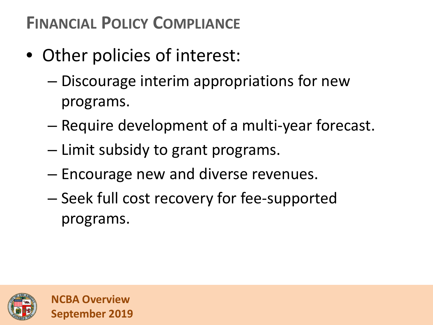- Other policies of interest:
	- Discourage interim appropriations for new programs.
	- Require development of a multi-year forecast.
	- Limit subsidy to grant programs.
	- Encourage new and diverse revenues.
	- Seek full cost recovery for fee-supported programs.

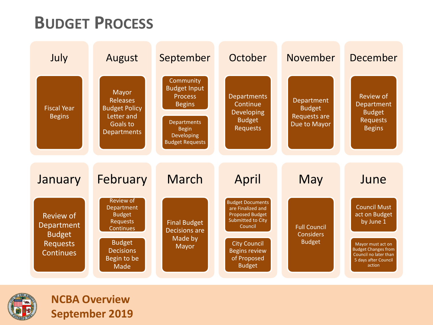### **BUDGET PROCESS**



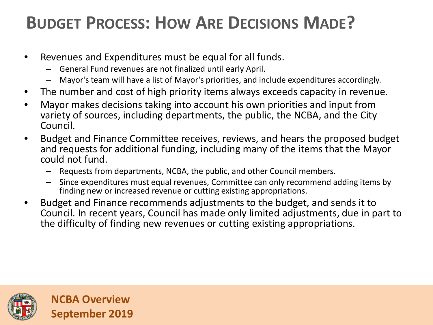# **BUDGET PROCESS: HOW ARE DECISIONS MADE?**

- Revenues and Expenditures must be equal for all funds.
	- General Fund revenues are not finalized until early April.
	- Mayor's team will have a list of Mayor's priorities, and include expenditures accordingly.
- The number and cost of high priority items always exceeds capacity in revenue.
- Mayor makes decisions taking into account his own priorities and input from variety of sources, including departments, the public, the NCBA, and the City Council.
- Budget and Finance Committee receives, reviews, and hears the proposed budget and requests for additional funding, including many of the items that the Mayor could not fund.
	- Requests from departments, NCBA, the public, and other Council members.
	- Since expenditures must equal revenues, Committee can only recommend adding items by finding new or increased revenue or cutting existing appropriations.
- Budget and Finance recommends adjustments to the budget, and sends it to Council. In recent years, Council has made only limited adjustments, due in part to the difficulty of finding new revenues or cutting existing appropriations.

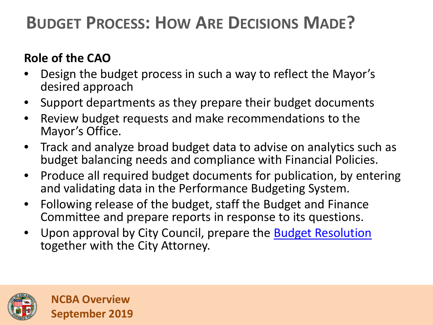# **BUDGET PROCESS: HOW ARE DECISIONS MADE?**

#### **Role of the CAO**

- Design the budget process in such a way to reflect the Mayor's desired approach
- Support departments as they prepare their budget documents
- Review budget requests and make recommendations to the Mayor's Office.
- Track and analyze broad budget data to advise on analytics such as budget balancing needs and compliance with Financial Policies.
- Produce all required budget documents for publication, by entering and validating data in the Performance Budgeting System.
- Following release of the budget, staff the Budget and Finance Committee and prepare reports in response to its questions.
- Upon approval by City Council, prepare the [Budget Resolution](http://clkrep.lacity.org/onlinedocs/2019/19-0600_misc_05-29-2019.pdf) together with the City Attorney.

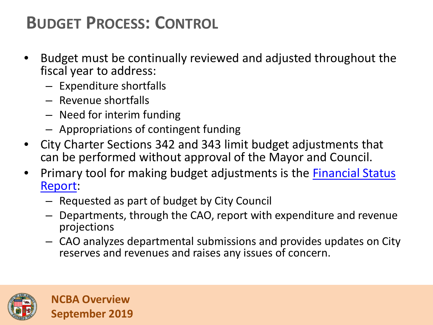# **BUDGET PROCESS: CONTROL**

- Budget must be continually reviewed and adjusted throughout the fiscal year to address:
	- Expenditure shortfalls
	- Revenue shortfalls
	- Need for interim funding
	- Appropriations of contingent funding
- City Charter Sections 342 and 343 limit budget adjustments that can be performed without approval of the Mayor and Council.
- Primary tool for making budget adjustments is the **Financial Status** Report:
	- Requested as part of budget by City Council
	- Departments, through the CAO, report with expenditure and revenue projections
	- CAO analyzes departmental submissions and provides updates on City reserves and revenues and raises any issues of concern.

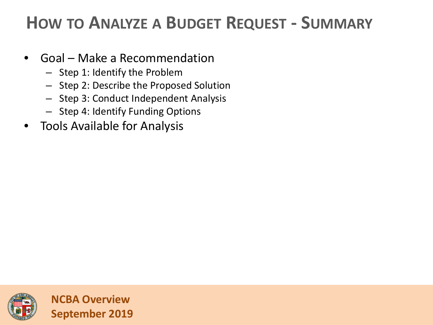### **HOW TO ANALYZE A BUDGET REQUEST - SUMMARY**

- Goal Make a Recommendation
	- Step 1: Identify the Problem
	- Step 2: Describe the Proposed Solution
	- Step 3: Conduct Independent Analysis
	- Step 4: Identify Funding Options
- Tools Available for Analysis

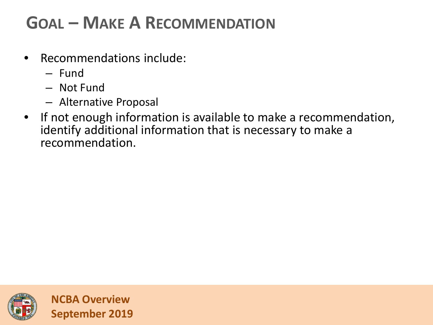# **GOAL – MAKE A RECOMMENDATION**

- Recommendations include:
	- Fund
	- Not Fund
	- Alternative Proposal
- If not enough information is available to make a recommendation, identify additional information that is necessary to make a recommendation.

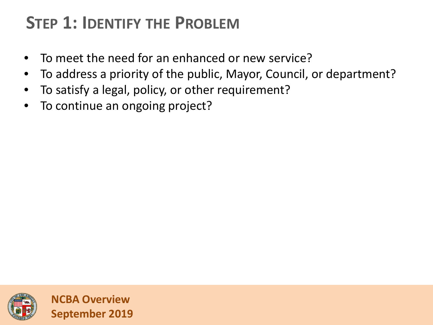# **STEP 1: IDENTIFY THE PROBLEM**

- To meet the need for an enhanced or new service?
- To address a priority of the public, Mayor, Council, or department?
- To satisfy a legal, policy, or other requirement?
- To continue an ongoing project?

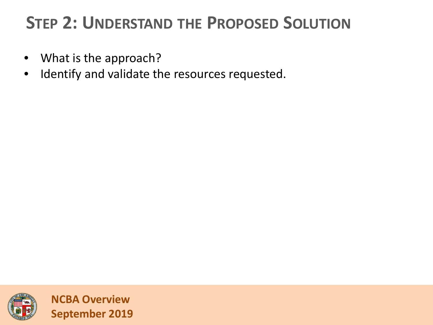# **STEP 2: UNDERSTAND THE PROPOSED SOLUTION**

- What is the approach?
- Identify and validate the resources requested.

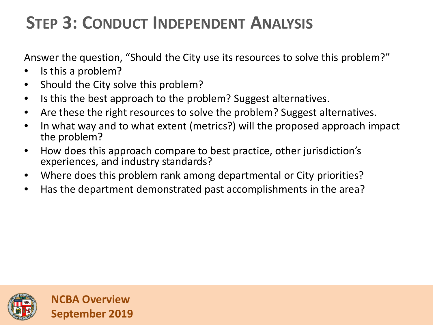# **STEP 3: CONDUCT INDEPENDENT ANALYSIS**

Answer the question, "Should the City use its resources to solve this problem?"

- Is this a problem?
- Should the City solve this problem?
- Is this the best approach to the problem? Suggest alternatives.
- Are these the right resources to solve the problem? Suggest alternatives.
- In what way and to what extent (metrics?) will the proposed approach impact the problem?
- How does this approach compare to best practice, other jurisdiction's experiences, and industry standards?
- Where does this problem rank among departmental or City priorities?
- Has the department demonstrated past accomplishments in the area?

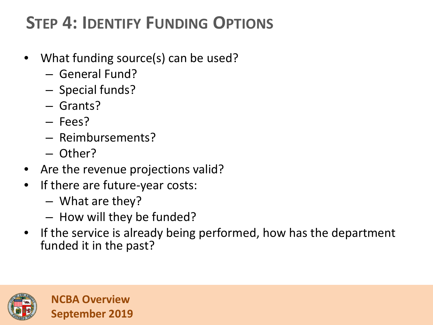# **STEP 4: IDENTIFY FUNDING OPTIONS**

- What funding source(s) can be used?
	- General Fund?
	- Special funds?
	- Grants?
	- Fees?
	- Reimbursements?
	- Other?
- Are the revenue projections valid?
- If there are future-year costs:
	- What are they?
	- How will they be funded?
- If the service is already being performed, how has the department funded it in the past?

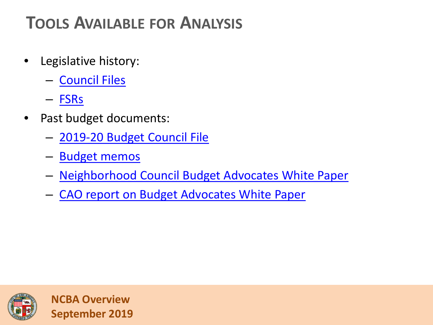# **TOOLS AVAILABLE FOR ANALYSIS**

- Legislative history:
	- [Council Files](https://cityclerk.lacity.org/lacityclerkconnect/index.cfm)
	- [FSRs](http://cao.lacity.org/budget/FSR.htm)
- Past budget documents:
	- [2019-20 Budget Council File](http://cao.lacity.org/budgetmemos.htm)
	- [Budget memos](http://cao.lacity.org/budgetmemos.htm)
	- [Neighborhood Council Budget Advocates White Paper](http://clkrep.lacity.org/onlinedocs/2019/19-0600_misc.pdf)
	- [CAO report on Budget Advocates White Paper](http://clkrep.lacity.org/onlinedocs/2019/19-0600_misc_04-30-2019.pdf)